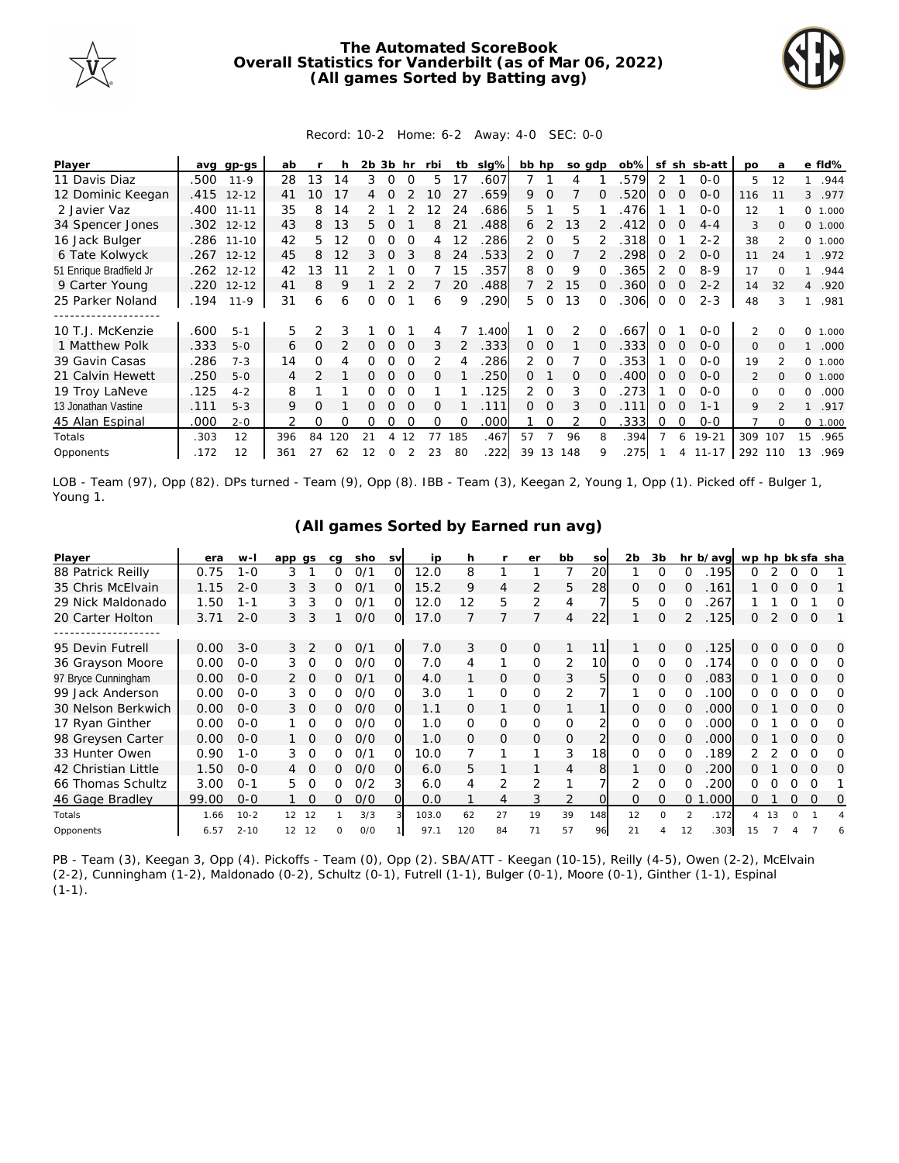

## **The Automated ScoreBook Overall Statistics for Vanderbilt (as of Mar 06, 2022) (All games Sorted by Batting avg)**



## Record: 10-2 Home: 6-2 Away: 4-0 SEC: 0-0

| Player                  | ava  | gp-gs      | ab  |               |     | 2b. | 3b       | hr       | rbi | tb  | $slq\%$ | bb hp          |          | so gdp |              | $ob\%$ | sf            | sh       | sb-att    | po             | a        |                | e fld%  |
|-------------------------|------|------------|-----|---------------|-----|-----|----------|----------|-----|-----|---------|----------------|----------|--------|--------------|--------|---------------|----------|-----------|----------------|----------|----------------|---------|
| 11 Davis Diaz           | .500 | $11 - 9$   | 28  | 13            | 14  | 3   | $\Omega$ | $\Omega$ | 5.  | 17  | 607     |                |          |        |              | 579    | 2             |          | $O-O$     | 5              | 12       |                | .944    |
| 12 Dominic Keegan       |      | .415 12-12 | 41  | 10            | 17  | 4   |          |          | 10  | 27  | .659    | 9              | $\Omega$ |        | O            | 520    | 0             | $\Omega$ | $O-O$     | 116            | 11       | 3              | .977    |
| 2 Javier Vaz            |      | .400 11-11 | 35  | 8             | 14  |     |          |          | 12  | 24  | .686    | 5.             |          | 5      |              | .476   |               |          | $O - O$   | 12             |          |                | 0 1.000 |
| 34 Spencer Jones        |      | .302 12-12 | 43  | 8             | 13  | 5.  |          |          | 8   | 21  | .488    | 6              | 2        | 13     |              | .412   | $\Omega$      |          | $4 - 4$   | 3              | $\Omega$ | $\circ$        | 1.000   |
| 16 Jack Bulger          |      | .286 11-10 | 42  | 5.            | 12  | 0   |          |          | 4   | 12  | 286     | $\mathcal{P}$  | $\Omega$ | 5      |              | .318   | 0             |          | $2 - 2$   | 38             |          | $\Omega$       | 1.000   |
| 6 Tate Kolwyck          |      | .267 12-12 | 45  | 8             | 12  | 3   | O        |          | 8   | 24  | .533    | 2              | $\Omega$ |        |              | 298    | $\Omega$      |          | $O-O$     | 11             | 24       |                | .972    |
| 51 Enrique Bradfield Jr | .262 | $12 - 12$  | 42  | 3             |     |     |          |          |     | 15  | .357    | 8              | $\Omega$ | 9      |              | 365    | $\mathcal{P}$ |          | $8 - 9$   | 17             | $\cap$   |                | .944    |
| 9 Carter Young          | .220 | $12 - 12$  | 41  | 8             | 9   |     |          |          |     | 20  | .488    |                | 2        | 15     |              | 360    | 0             | $\Omega$ | $2 - 2$   | 14             | 32       | $\overline{4}$ | .920    |
| 25 Parker Noland        | .194 | $11 - 9$   | 31  | 6             | 6   | Ω   | 0        |          | 6   | 9   | 290     | 5.             | $\Omega$ | 13     | $\Omega$     | 306    | $\mathbf 0$   | $\Omega$ | $2 - 3$   | 48             | 3        |                | .981    |
| 10 T.J. McKenzie        | .600 | $5 - 1$    | 5   | $\mathcal{P}$ |     |     |          |          |     |     | .400    |                |          |        |              | .667   |               |          | $O-O$     | $\mathfrak{D}$ |          | 0              | 1.000   |
| 1 Matthew Polk          | .333 | $5 - 0$    | 6   | $\Omega$      |     | 0   | 0        | $\Omega$ | 3   | 2   | .333    | $\Omega$       | $\Omega$ |        |              | .333   | $\Omega$      | $\Omega$ | $0 - 0$   | $\Omega$       | $\Omega$ |                | .000    |
| 39 Gavin Casas          | .286 | $7 - 3$    | 14  | Ω             | 4   |     |          |          |     |     | .286    | $\overline{2}$ | $\Omega$ |        |              | .353   |               |          | $O-O$     | 19             |          | $\Omega$       | 1.000   |
| 21 Calvin Hewett        | .250 | $5 - 0$    | 4   | $\mathcal{P}$ |     |     |          |          | O   |     | 250     | 0              |          | 0      |              | 400    | $\Omega$      |          | $0 - 0$   | $\overline{2}$ |          | $\Omega$       | 1.000   |
| 19 Troy LaNeve          | .125 | $4 - 2$    | 8   |               |     |     |          |          |     |     | .125    | 2.             | $\Omega$ | 3      |              | 273    |               |          | $O-O$     | $\Omega$       | $\cap$   | $\Omega$       | .000    |
| 13 Jonathan Vastine     | .111 | $5 - 3$    | 9   | 0             |     | Ω   | $\Omega$ | $\Omega$ | 0   |     | .111    | 0              | $\Omega$ | 3      | <sup>o</sup> | 111    | 0             | $\Omega$ | $1 - 1$   | 9              |          |                | .917    |
| 45 Alan Espinal         | .000 | $2 - 0$    |     | Ω             | Ω   | 0   | 0        |          | Ω   | Ω   | .000    |                |          |        |              | 333    | 0             | 0        | $0 - 0$   |                | $\Omega$ | 0              | 1.000   |
| Totals                  | .303 | 12         | 396 | 84            | 120 | 21  | 4        | 12       | 77  | 185 | .467    | 57             |          | 96     |              | .394   |               | 6        | $19 - 21$ | 309            | 107      | 15             | .965    |
| Opponents               | .172 | 12         | 361 |               | 62  |     |          |          | 23  | 80  | 222     | 39             | 13       | 148    | 9            | .275   |               |          | 4 11-17   | 292 110        |          | 13             | .969    |

LOB - Team (97), Opp (82). DPs turned - Team (9), Opp (8). IBB - Team (3), Keegan 2, Young 1, Opp (1). Picked off - Bulger 1, Young 1.

## **(All games Sorted by Earned run avg)**

| Player              | era   | $W -$    | app               | as             | ca | sho | <b>SV</b>      | ip    | h   |                | er       | bb             | SO  | 2b           | 3b       |                  | hr b/avg | wp hp bk sfa sha |    |          |             |          |
|---------------------|-------|----------|-------------------|----------------|----|-----|----------------|-------|-----|----------------|----------|----------------|-----|--------------|----------|------------------|----------|------------------|----|----------|-------------|----------|
| 88 Patrick Reilly   | 0.75  | $1 - 0$  | 3                 |                | Ω  | 0/1 | O              | 12.0  | 8   |                |          |                | 20  |              | 0        |                  | 195      | 0                |    |          |             |          |
| 35 Chris McElvain   | 1.15  | $2 - 0$  | 3                 | 3              | 0  | O/1 | $\Omega$       | 15.2  | 9   | $\overline{4}$ | 2        | 5              | 28  | $\Omega$     | $\Omega$ | $\Omega$         | 161      |                  |    |          | $\Omega$    |          |
| 29 Nick Maldonado   | 1.50  | $1 - 1$  | 3                 | 3              | 0  | O/1 | Ω              | 12.0  | 12  | 5              | 2        | 4              |     | 5            | 0        |                  | 267      |                  |    |          |             | O        |
| 20 Carter Holton    | 3.71  | $2 - 0$  | 3                 | 3              |    | O/O | O              | 17.0  |     |                |          | 4              | 22  |              | $\Omega$ |                  | 125      | 0                | 2  | $\Omega$ | $\Omega$    |          |
|                     |       |          |                   |                |    |     |                |       |     |                |          |                |     |              |          |                  |          |                  |    |          |             |          |
| 95 Devin Futrell    | 0.00  | $3 - 0$  | 3                 | 2              | 0  | 0/1 | $\overline{O}$ | 7.0   | 3   | $\mathbf{O}$   | $\Omega$ |                | 11  |              | $\Omega$ | $\Omega$         | 125      | 0                | Ω  | $\Omega$ | $\Omega$    | $\Omega$ |
| 36 Grayson Moore    | 0.00  | $0 - 0$  | 3.                | 0              | Ω  | 0/0 | Ω              | 7.0   | 4   |                | $\Omega$ | 2              | 10  | <sup>o</sup> | 0        | $\left( \right)$ | 174      | 0.               |    |          | O           | O        |
| 97 Bryce Cunningham | 0.00  | $0 - 0$  |                   | 2 0            | 0  | O/1 | $\Omega$       | 4.0   |     | 0              | $\Omega$ | 3              | 5   | 0            | $\Omega$ | O                | 083      | Ω                |    | $\Omega$ | $\Omega$    | O        |
| 99 Jack Anderson    | 0.00  | $0 - 0$  | 3                 | $\Omega$       | 0  | 0/0 | ი              | 3.0   |     | 0              | $\Omega$ | 2              |     |              | Ω        |                  | 100      | 0                |    | ∩        |             | O        |
| 30 Nelson Berkwich  | 0.00  | $O - O$  | 3.                | $\overline{0}$ | 0  | O/O | 0              | 1.1   | Ω   |                | 0        |                |     | 0            | $\Omega$ |                  | .000     | Ω                |    | $\Omega$ | $\Omega$    | O        |
| 17 Ryan Ginther     | 0.00  | $0 - 0$  |                   |                | O  | O/O | Ο              | 1.0   | 0   | 0              | $\Omega$ | $\mathbf 0$    |     | 0            | 0        |                  | .000     | ∩                |    |          |             | O        |
| 98 Greysen Carter   | 0.00  | $0 - 0$  |                   | $\overline{O}$ | 0  | O/O | O              | 1.0   | Ω   | 0              | $\Omega$ | $\overline{O}$ |     | $\Omega$     | $\Omega$ |                  | 000      | Ω                |    | 0        | $\Omega$    | O        |
| 33 Hunter Owen      | 0.90  | $1 - 0$  | 3                 | $\Omega$       | Ω  | O/1 | Ω              | 10.0  |     |                |          | 3              | 18  |              | $\Omega$ |                  | 189      |                  |    |          | $\Omega$    | O        |
| 42 Christian Little | 1.50  | $0 - 0$  |                   | $\Omega$       | 0  | O/O |                | 6.0   | 5.  |                |          | 4              | 8   |              | $\Omega$ | Ω                | 200      | 0                |    | 0        | $\Omega$    | O        |
| 66 Thomas Schultz   | 3.00  | $0 - 1$  | 5.                |                | 0  | O/2 | 3              | 6.0   | 4   | $\overline{2}$ | 2        |                |     |              | $\Omega$ |                  | 200      | 0                |    |          |             |          |
| 46 Gage Bradley     | 99.00 | $0 - 0$  |                   | $\Omega$       | 0  | O/O |                | 0.0   |     | 4              | 3        | $\overline{2}$ |     | 0            | $\Omega$ | $\Omega$         | .000     | 0                |    | 0        | $\mathbf 0$ | 0        |
| Totals              | 1.66  | $10-2$   | $12 \overline{ }$ | 12             |    | 3/3 |                | 103.0 | 62  | 27             | 19       | 39             | 148 | 12           | $\Omega$ | $\mathcal{P}$    | .172     |                  | 13 |          |             |          |
| Opponents           | 6.57  | $2 - 10$ | 12                | 12             | ი  | O/O |                | 97.1  | 120 | 84             | 71       | 57             | 96  | 21           |          | 12               | 303      | 15               |    |          |             |          |

PB - Team (3), Keegan 3, Opp (4). Pickoffs - Team (0), Opp (2). SBA/ATT - Keegan (10-15), Reilly (4-5), Owen (2-2), McElvain (2-2), Cunningham (1-2), Maldonado (0-2), Schultz (0-1), Futrell (1-1), Bulger (0-1), Moore (0-1), Ginther (1-1), Espinal  $(1-1)$ .